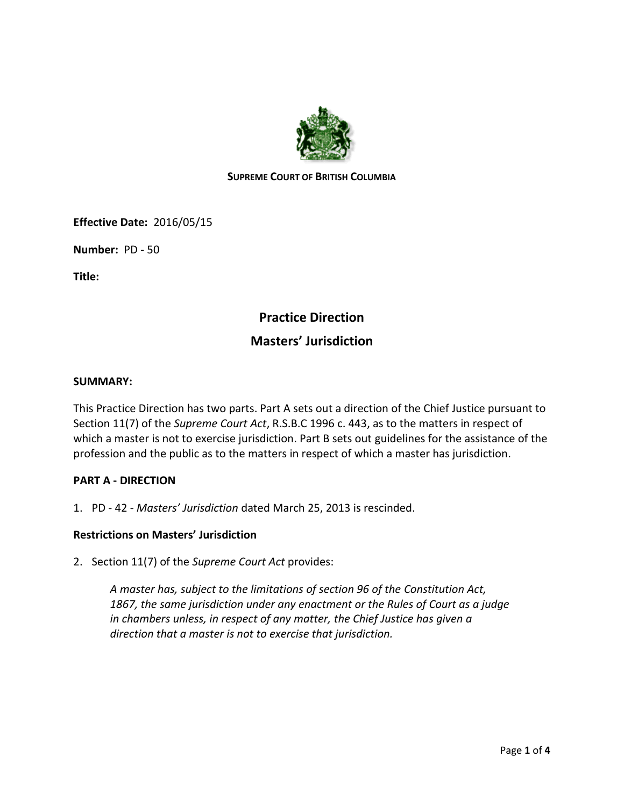

## **SUPREME COURT OF BRITISH COLUMBIA**

**Effective Date:** 2016/05/15

**Number:** PD - 50

**Title:**

# **Practice Direction**

# **Masters' Jurisdiction**

#### **SUMMARY:**

This Practice Direction has two parts. Part A sets out a direction of the Chief Justice pursuant to Section 11(7) of the *Supreme Court Act*, R.S.B.C 1996 c. 443, as to the matters in respect of which a master is not to exercise jurisdiction. Part B sets out guidelines for the assistance of the profession and the public as to the matters in respect of which a master has jurisdiction.

#### **PART A - DIRECTION**

1. PD - 42 - *Masters' Jurisdiction* dated March 25, 2013 is rescinded.

## **Restrictions on Masters' Jurisdiction**

2. Section 11(7) of the *Supreme Court Act* provides:

*A master has, subject to the limitations of section 96 of the Constitution Act, 1867, the same jurisdiction under any enactment or the Rules of Court as a judge in chambers unless, in respect of any matter, the Chief Justice has given a direction that a master is not to exercise that jurisdiction.*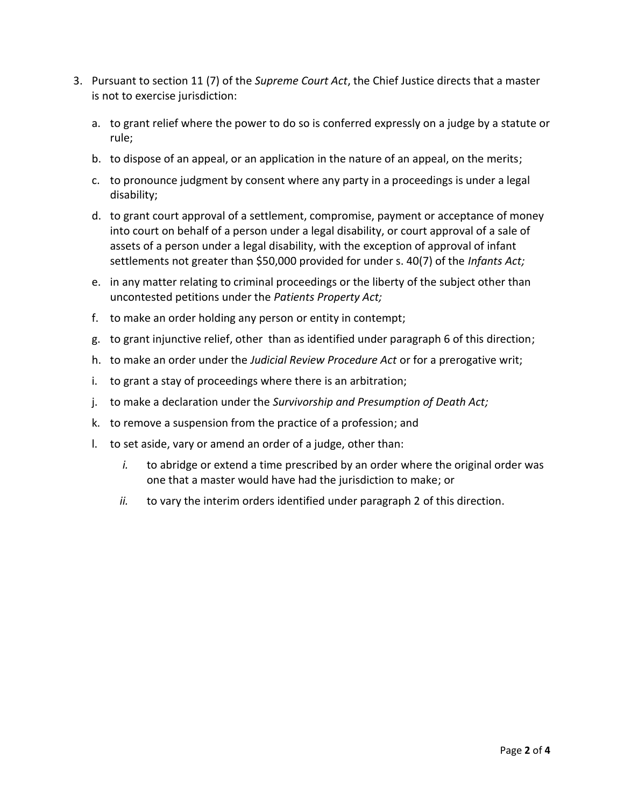- 3. Pursuant to section 11 (7) of the *Supreme Court Act*, the Chief Justice directs that a master is not to exercise jurisdiction:
	- a. to grant relief where the power to do so is conferred expressly on a judge by a statute or rule;
	- b. to dispose of an appeal, or an application in the nature of an appeal, on the merits;
	- c. to pronounce judgment by consent where any party in a proceedings is under a legal disability;
	- d. to grant court approval of a settlement, compromise, payment or acceptance of money into court on behalf of a person under a legal disability, or court approval of a sale of assets of a person under a legal disability, with the exception of approval of infant settlements not greater than \$50,000 provided for under s. 40(7) of the *Infants Act;*
	- e. in any matter relating to criminal proceedings or the liberty of the subject other than uncontested petitions under the *Patients Property Act;*
	- f. to make an order holding any person or entity in contempt;
	- g. to grant injunctive relief, other than as identified under paragraph 6 of this direction;
	- h. to make an order under the *Judicial Review Procedure Act* or for a prerogative writ;
	- i. to grant a stay of proceedings where there is an arbitration;
	- j. to make a declaration under the *Survivorship and Presumption of Death Act;*
	- k. to remove a suspension from the practice of a profession; and
	- l. to set aside, vary or amend an order of a judge, other than:
		- *i.* to abridge or extend a time prescribed by an order where the original order was one that a master would have had the jurisdiction to make; or
		- *ii.* to vary the interim orders identified under paragraph 2 of this direction.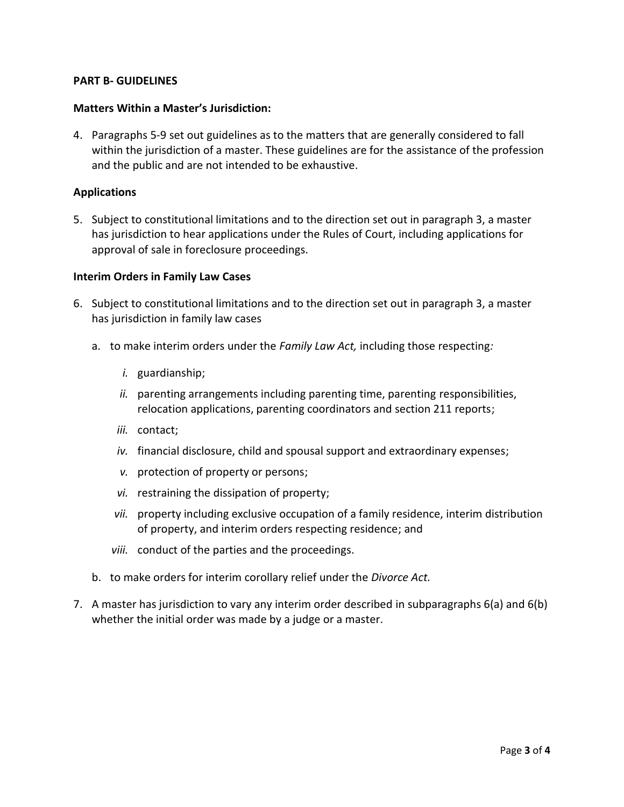#### **PART B- GUIDELINES**

#### **Matters Within a Master's Jurisdiction:**

4. Paragraphs 5-9 set out guidelines as to the matters that are generally considered to fall within the jurisdiction of a master. These guidelines are for the assistance of the profession and the public and are not intended to be exhaustive.

#### **Applications**

5. Subject to constitutional limitations and to the direction set out in paragraph 3, a master has jurisdiction to hear applications under the Rules of Court, including applications for approval of sale in foreclosure proceedings.

#### **Interim Orders in Family Law Cases**

- 6. Subject to constitutional limitations and to the direction set out in paragraph 3, a master has jurisdiction in family law cases
	- a. to make interim orders under the *Family Law Act,* including those respecting*:*
		- *i.* guardianship;
		- *ii.* parenting arrangements including parenting time, parenting responsibilities, relocation applications, parenting coordinators and section 211 reports;
		- *iii.* contact;
		- *iv.* financial disclosure, child and spousal support and extraordinary expenses;
		- *v.* protection of property or persons;
		- *vi.* restraining the dissipation of property;
		- *vii.* property including exclusive occupation of a family residence, interim distribution of property, and interim orders respecting residence; and
		- *viii.* conduct of the parties and the proceedings.
	- b. to make orders for interim corollary relief under the *Divorce Act.*
- 7. A master has jurisdiction to vary any interim order described in subparagraphs 6(a) and 6(b) whether the initial order was made by a judge or a master.